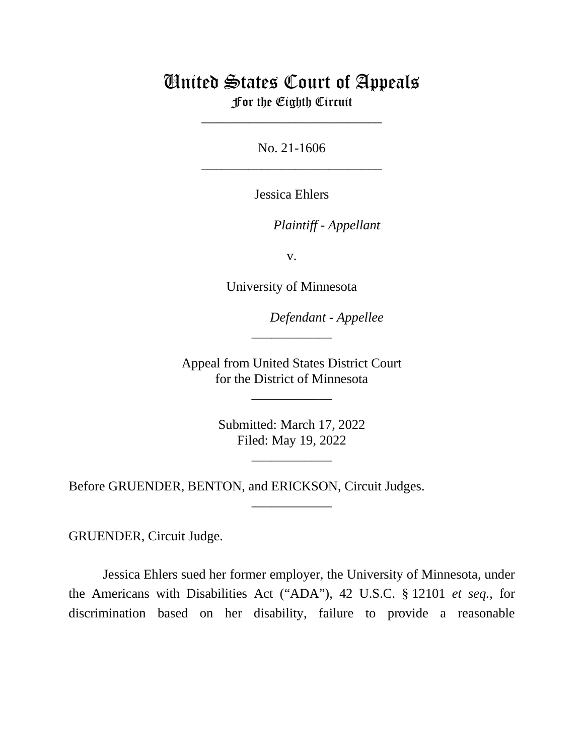# United States Court of Appeals

For the Eighth Circuit \_\_\_\_\_\_\_\_\_\_\_\_\_\_\_\_\_\_\_\_\_\_\_\_\_\_\_

No. 21-1606 \_\_\_\_\_\_\_\_\_\_\_\_\_\_\_\_\_\_\_\_\_\_\_\_\_\_\_

Jessica Ehlers

*Plaintiff - Appellant*

v.

University of Minnesota

*Defendant - Appellee*

Appeal from United States District Court for the District of Minnesota

\_\_\_\_\_\_\_\_\_\_\_\_

\_\_\_\_\_\_\_\_\_\_\_\_

Submitted: March 17, 2022 Filed: May 19, 2022

\_\_\_\_\_\_\_\_\_\_\_\_

\_\_\_\_\_\_\_\_\_\_\_\_

Before GRUENDER, BENTON, and ERICKSON, Circuit Judges.

GRUENDER, Circuit Judge.

Jessica Ehlers sued her former employer, the University of Minnesota, under the Americans with Disabilities Act ("ADA"), 42 U.S.C. § 12101 *et seq.*, for discrimination based on her disability, failure to provide a reasonable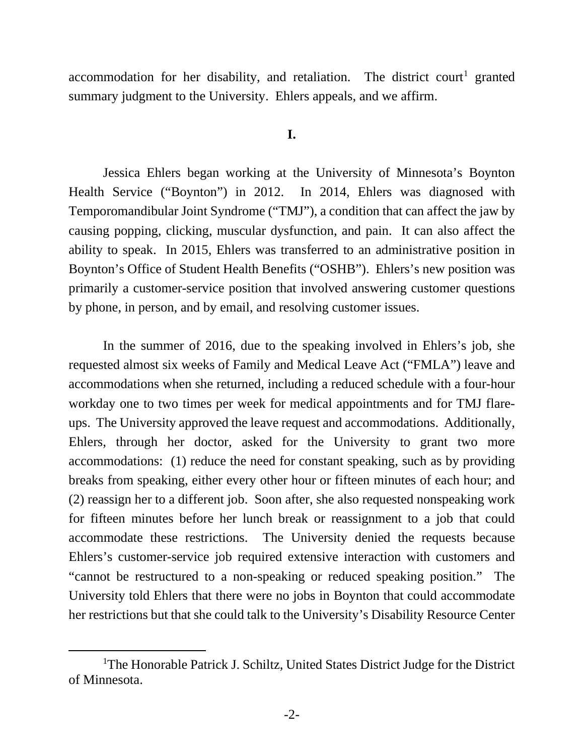accommodation for her disability, and retaliation. The district court<sup>[1](#page-1-0)</sup> granted summary judgment to the University. Ehlers appeals, and we affirm.

### **I.**

Jessica Ehlers began working at the University of Minnesota's Boynton Health Service ("Boynton") in 2012. In 2014, Ehlers was diagnosed with Temporomandibular Joint Syndrome ("TMJ"), a condition that can affect the jaw by causing popping, clicking, muscular dysfunction, and pain. It can also affect the ability to speak. In 2015, Ehlers was transferred to an administrative position in Boynton's Office of Student Health Benefits ("OSHB"). Ehlers's new position was primarily a customer-service position that involved answering customer questions by phone, in person, and by email, and resolving customer issues.

In the summer of 2016, due to the speaking involved in Ehlers's job, she requested almost six weeks of Family and Medical Leave Act ("FMLA") leave and accommodations when she returned, including a reduced schedule with a four-hour workday one to two times per week for medical appointments and for TMJ flareups. The University approved the leave request and accommodations. Additionally, Ehlers, through her doctor, asked for the University to grant two more accommodations: (1) reduce the need for constant speaking, such as by providing breaks from speaking, either every other hour or fifteen minutes of each hour; and (2) reassign her to a different job. Soon after, she also requested nonspeaking work for fifteen minutes before her lunch break or reassignment to a job that could accommodate these restrictions. The University denied the requests because Ehlers's customer-service job required extensive interaction with customers and "cannot be restructured to a non-speaking or reduced speaking position." The University told Ehlers that there were no jobs in Boynton that could accommodate her restrictions but that she could talk to the University's Disability Resource Center

<span id="page-1-0"></span><sup>&</sup>lt;sup>1</sup>The Honorable Patrick J. Schiltz, United States District Judge for the District of Minnesota.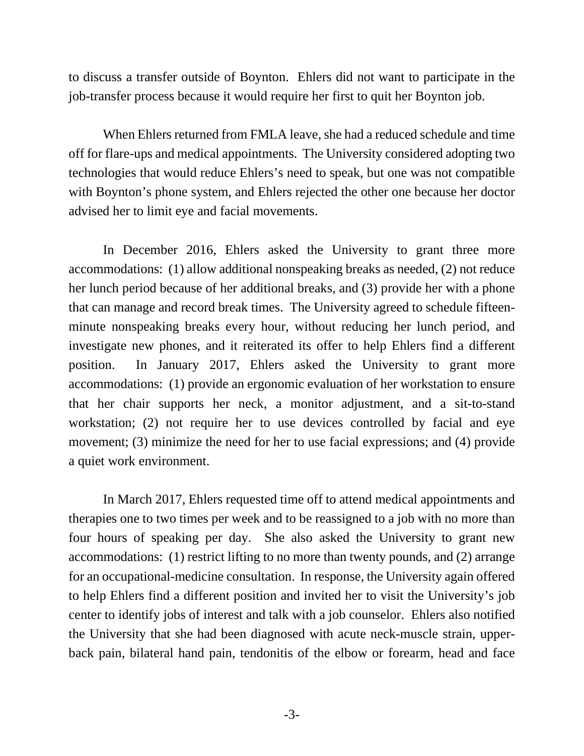to discuss a transfer outside of Boynton. Ehlers did not want to participate in the job-transfer process because it would require her first to quit her Boynton job.

When Ehlers returned from FMLA leave, she had a reduced schedule and time off for flare-ups and medical appointments.The University considered adopting two technologies that would reduce Ehlers's need to speak, but one was not compatible with Boynton's phone system, and Ehlers rejected the other one because her doctor advised her to limit eye and facial movements.

In December 2016, Ehlers asked the University to grant three more accommodations: (1) allow additional nonspeaking breaks as needed, (2) not reduce her lunch period because of her additional breaks, and (3) provide her with a phone that can manage and record break times.The University agreed to schedule fifteenminute nonspeaking breaks every hour, without reducing her lunch period, and investigate new phones, and it reiterated its offer to help Ehlers find a different position.In January 2017, Ehlers asked the University to grant more accommodations: (1) provide an ergonomic evaluation of her workstation to ensure that her chair supports her neck, a monitor adjustment, and a sit-to-stand workstation; (2) not require her to use devices controlled by facial and eye movement; (3) minimize the need for her to use facial expressions; and (4) provide a quiet work environment.

In March 2017, Ehlers requested time off to attend medical appointments and therapies one to two times per week and to be reassigned to a job with no more than four hours of speaking per day. She also asked the University to grant new accommodations: (1) restrict lifting to no more than twenty pounds, and (2) arrange for an occupational-medicine consultation.In response, the University again offered to help Ehlers find a different position and invited her to visit the University's job center to identify jobs of interest and talk with a job counselor. Ehlers also notified the University that she had been diagnosed with acute neck-muscle strain, upperback pain, bilateral hand pain, tendonitis of the elbow or forearm, head and face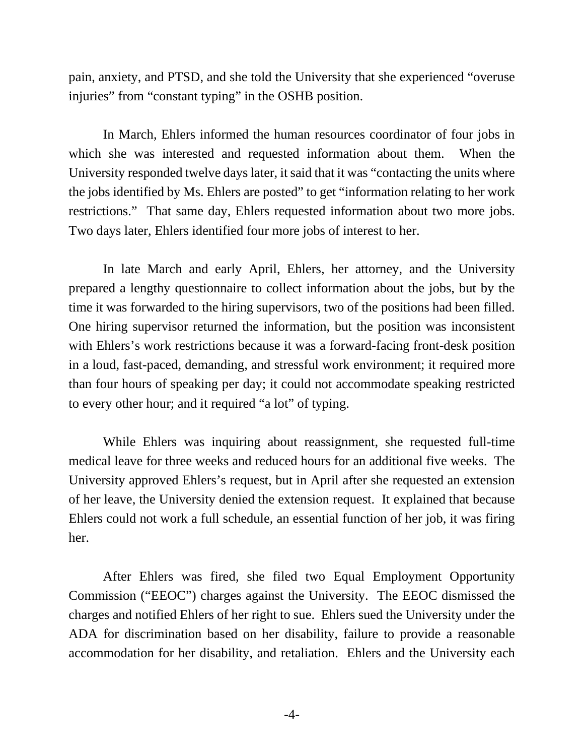pain, anxiety, and PTSD, and she told the University that she experienced "overuse injuries" from "constant typing" in the OSHB position.

In March, Ehlers informed the human resources coordinator of four jobs in which she was interested and requested information about them. When the University responded twelve days later, it said that it was "contacting the units where the jobs identified by Ms. Ehlers are posted" to get "information relating to her work restrictions." That same day, Ehlers requested information about two more jobs. Two days later, Ehlers identified four more jobs of interest to her.

In late March and early April, Ehlers, her attorney, and the University prepared a lengthy questionnaire to collect information about the jobs, but by the time it was forwarded to the hiring supervisors, two of the positions had been filled. One hiring supervisor returned the information, but the position was inconsistent with Ehlers's work restrictions because it was a forward-facing front-desk position in a loud, fast-paced, demanding, and stressful work environment; it required more than four hours of speaking per day; it could not accommodate speaking restricted to every other hour; and it required "a lot" of typing.

While Ehlers was inquiring about reassignment, she requested full-time medical leave for three weeks and reduced hours for an additional five weeks. The University approved Ehlers's request, but in April after she requested an extension of her leave, the University denied the extension request. It explained that because Ehlers could not work a full schedule, an essential function of her job, it was firing her.

After Ehlers was fired, she filed two Equal Employment Opportunity Commission ("EEOC") charges against the University. The EEOC dismissed the charges and notified Ehlers of her right to sue. Ehlers sued the University under the ADA for discrimination based on her disability, failure to provide a reasonable accommodation for her disability, and retaliation.Ehlers and the University each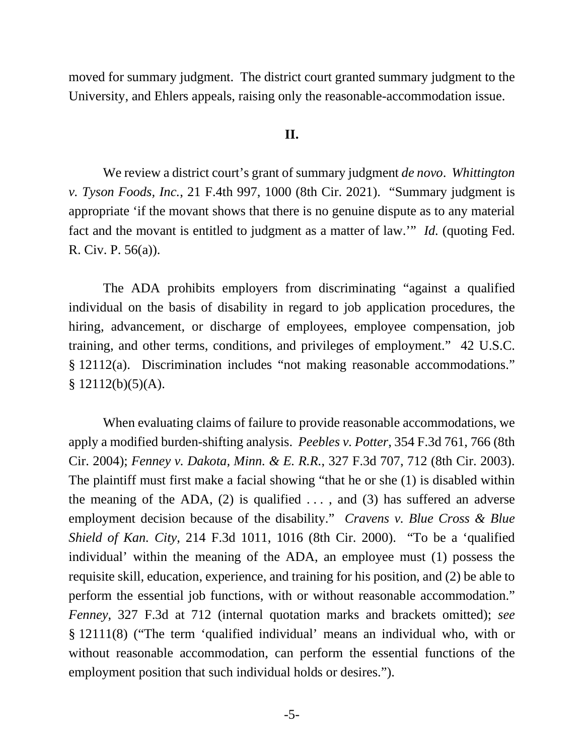moved for summary judgment. The district court granted summary judgment to the University, and Ehlers appeals, raising only the reasonable-accommodation issue.

### **II.**

We review a district court's grant of summary judgment *de novo*. *Whittington v. Tyson Foods, Inc.*, 21 F.4th 997, 1000 (8th Cir. 2021). "Summary judgment is appropriate 'if the movant shows that there is no genuine dispute as to any material fact and the movant is entitled to judgment as a matter of law.'" *Id.* (quoting Fed. R. Civ. P. 56(a)).

The ADA prohibits employers from discriminating "against a qualified individual on the basis of disability in regard to job application procedures, the hiring, advancement, or discharge of employees, employee compensation, job training, and other terms, conditions, and privileges of employment." 42 U.S.C. § 12112(a). Discrimination includes "not making reasonable accommodations."  $§ 12112(b)(5)(A).$ 

When evaluating claims of failure to provide reasonable accommodations, we apply a modified burden-shifting analysis. *Peebles v. Potter*, 354 F.3d 761, 766 (8th Cir. 2004); *Fenney v. Dakota, Minn. & E. R.R.*, 327 F.3d 707, 712 (8th Cir. 2003). The plaintiff must first make a facial showing "that he or she (1) is disabled within the meaning of the ADA, (2) is qualified  $\dots$ , and (3) has suffered an adverse employment decision because of the disability." *Cravens v. Blue Cross & Blue Shield of Kan. City*, 214 F.3d 1011, 1016 (8th Cir. 2000). "To be a 'qualified individual' within the meaning of the ADA, an employee must (1) possess the requisite skill, education, experience, and training for his position, and (2) be able to perform the essential job functions, with or without reasonable accommodation." *Fenney*, 327 F.3d at 712 (internal quotation marks and brackets omitted); *see*  § 12111(8) ("The term 'qualified individual' means an individual who, with or without reasonable accommodation, can perform the essential functions of the employment position that such individual holds or desires.").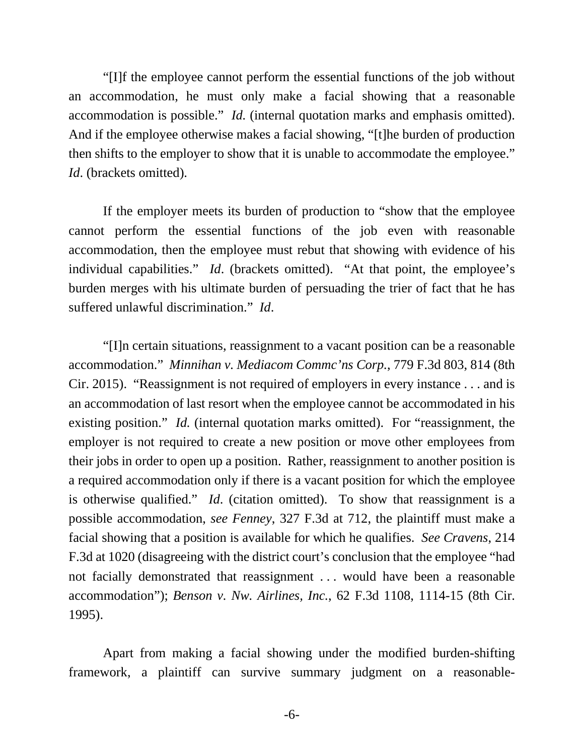"[I]f the employee cannot perform the essential functions of the job without an accommodation, he must only make a facial showing that a reasonable accommodation is possible." *Id.* (internal quotation marks and emphasis omitted). And if the employee otherwise makes a facial showing, "[t]he burden of production then shifts to the employer to show that it is unable to accommodate the employee." *Id*. (brackets omitted).

If the employer meets its burden of production to "show that the employee cannot perform the essential functions of the job even with reasonable accommodation, then the employee must rebut that showing with evidence of his individual capabilities." *Id.* (brackets omitted). "At that point, the employee's burden merges with his ultimate burden of persuading the trier of fact that he has suffered unlawful discrimination." *Id*.

"[I]n certain situations, reassignment to a vacant position can be a reasonable accommodation." *Minnihan v. Mediacom Commc'ns Corp.*, 779 F.3d 803, 814 (8th Cir. 2015). "Reassignment is not required of employers in every instance . . . and is an accommodation of last resort when the employee cannot be accommodated in his existing position." *Id.* (internal quotation marks omitted). For "reassignment, the employer is not required to create a new position or move other employees from their jobs in order to open up a position. Rather, reassignment to another position is a required accommodation only if there is a vacant position for which the employee is otherwise qualified." *Id*. (citation omitted). To show that reassignment is a possible accommodation, *see Fenney*, 327 F.3d at 712, the plaintiff must make a facial showing that a position is available for which he qualifies. *See Cravens*, 214 F.3d at 1020 (disagreeing with the district court's conclusion that the employee "had not facially demonstrated that reassignment . . . would have been a reasonable accommodation"); *Benson v. Nw. Airlines, Inc.*, 62 F.3d 1108, 1114-15 (8th Cir. 1995).

Apart from making a facial showing under the modified burden-shifting framework, a plaintiff can survive summary judgment on a reasonable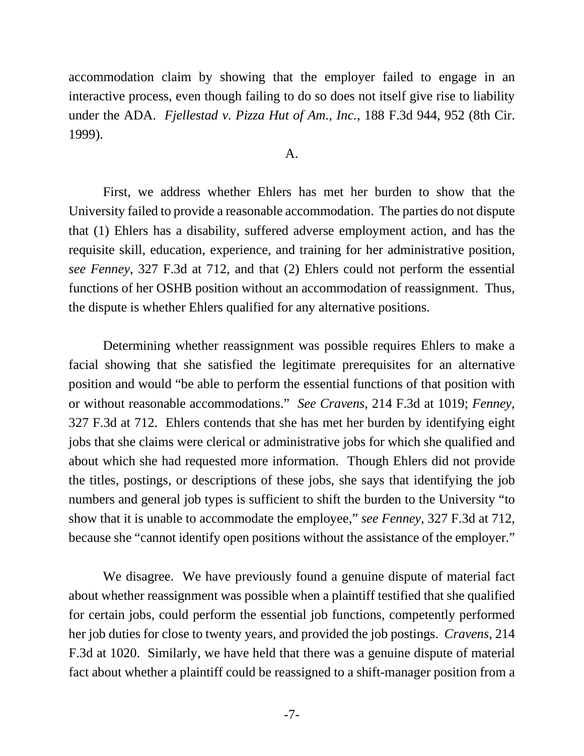accommodation claim by showing that the employer failed to engage in an interactive process, even though failing to do so does not itself give rise to liability under the ADA. *Fjellestad v. Pizza Hut of Am., Inc.*, 188 F.3d 944, 952 (8th Cir. 1999).

#### A.

First, we address whether Ehlers has met her burden to show that the University failed to provide a reasonable accommodation. The parties do not dispute that (1) Ehlers has a disability, suffered adverse employment action, and has the requisite skill, education, experience, and training for her administrative position, *see Fenney*, 327 F.3d at 712, and that (2) Ehlers could not perform the essential functions of her OSHB position without an accommodation of reassignment.Thus, the dispute is whether Ehlers qualified for any alternative positions.

Determining whether reassignment was possible requires Ehlers to make a facial showing that she satisfied the legitimate prerequisites for an alternative position and would "be able to perform the essential functions of that position with or without reasonable accommodations." *See Cravens*, 214 F.3d at 1019; *Fenney*, 327 F.3d at 712. Ehlers contends that she has met her burden by identifying eight jobs that she claims were clerical or administrative jobs for which she qualified and about which she had requested more information. Though Ehlers did not provide the titles, postings, or descriptions of these jobs, she says that identifying the job numbers and general job types is sufficient to shift the burden to the University "to show that it is unable to accommodate the employee," *see Fenney*, 327 F.3d at 712, because she "cannot identify open positions without the assistance of the employer."

We disagree. We have previously found a genuine dispute of material fact about whether reassignment was possible when a plaintiff testified that she qualified for certain jobs, could perform the essential job functions, competently performed her job duties for close to twenty years, and provided the job postings. *Cravens*, 214 F.3d at 1020. Similarly, we have held that there was a genuine dispute of material fact about whether a plaintiff could be reassigned to a shift-manager position from a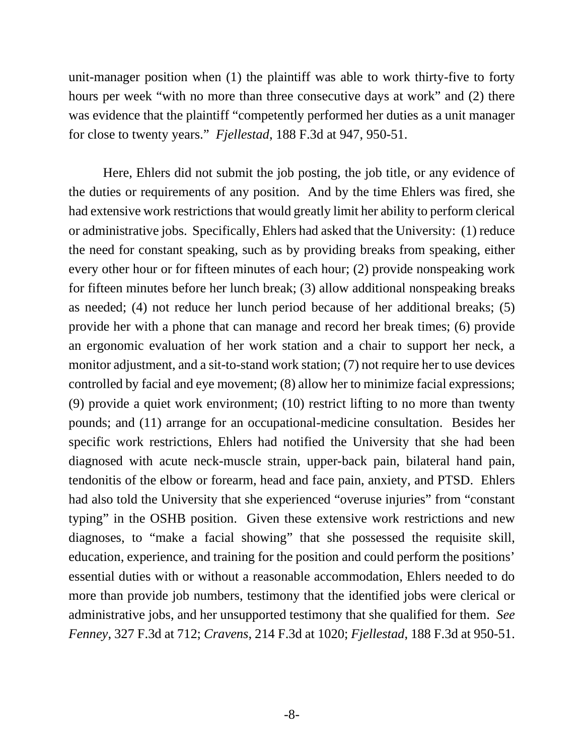unit-manager position when (1) the plaintiff was able to work thirty-five to forty hours per week "with no more than three consecutive days at work" and (2) there was evidence that the plaintiff "competently performed her duties as a unit manager for close to twenty years." *Fjellestad*, 188 F.3d at 947, 950-51.

Here, Ehlers did not submit the job posting, the job title, or any evidence of the duties or requirements of any position. And by the time Ehlers was fired, she had extensive work restrictions that would greatly limit her ability to perform clerical or administrative jobs. Specifically, Ehlers had asked that the University: (1) reduce the need for constant speaking, such as by providing breaks from speaking, either every other hour or for fifteen minutes of each hour; (2) provide nonspeaking work for fifteen minutes before her lunch break; (3) allow additional nonspeaking breaks as needed; (4) not reduce her lunch period because of her additional breaks; (5) provide her with a phone that can manage and record her break times; (6) provide an ergonomic evaluation of her work station and a chair to support her neck, a monitor adjustment, and a sit-to-stand work station; (7) not require her to use devices controlled by facial and eye movement; (8) allow her to minimize facial expressions; (9) provide a quiet work environment; (10) restrict lifting to no more than twenty pounds; and (11) arrange for an occupational-medicine consultation. Besides her specific work restrictions, Ehlers had notified the University that she had been diagnosed with acute neck-muscle strain, upper-back pain, bilateral hand pain, tendonitis of the elbow or forearm, head and face pain, anxiety, and PTSD. Ehlers had also told the University that she experienced "overuse injuries" from "constant" typing" in the OSHB position. Given these extensive work restrictions and new diagnoses, to "make a facial showing" that she possessed the requisite skill, education, experience, and training for the position and could perform the positions' essential duties with or without a reasonable accommodation, Ehlers needed to do more than provide job numbers, testimony that the identified jobs were clerical or administrative jobs, and her unsupported testimony that she qualified for them. *See Fenney*, 327 F.3d at 712; *Cravens*, 214 F.3d at 1020; *Fjellestad*, 188 F.3d at 950-51.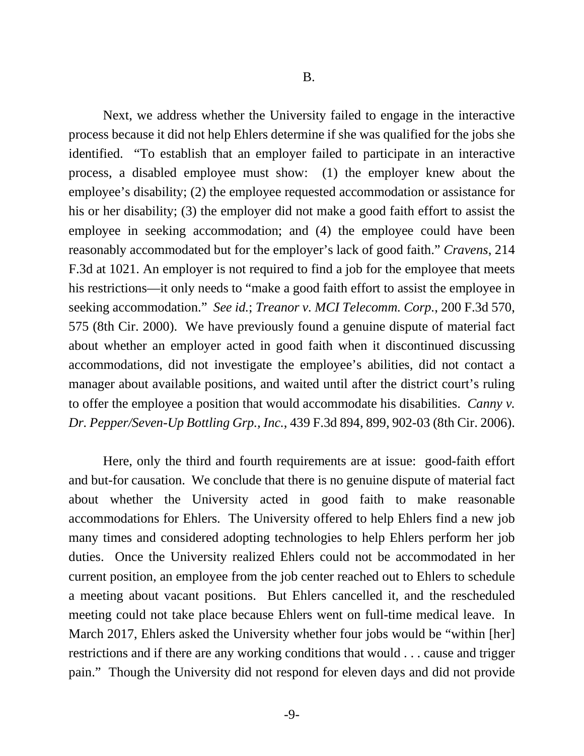Next, we address whether the University failed to engage in the interactive process because it did not help Ehlers determine if she was qualified for the jobs she identified. "To establish that an employer failed to participate in an interactive process, a disabled employee must show: (1) the employer knew about the employee's disability; (2) the employee requested accommodation or assistance for his or her disability; (3) the employer did not make a good faith effort to assist the employee in seeking accommodation; and (4) the employee could have been reasonably accommodated but for the employer's lack of good faith." *Cravens*, 214 F.3d at 1021. An employer is not required to find a job for the employee that meets his restrictions—it only needs to "make a good faith effort to assist the employee in seeking accommodation." *See id.*; *Treanor v. MCI Telecomm. Corp.*, 200 F.3d 570, 575 (8th Cir. 2000). We have previously found a genuine dispute of material fact about whether an employer acted in good faith when it discontinued discussing accommodations, did not investigate the employee's abilities, did not contact a manager about available positions, and waited until after the district court's ruling to offer the employee a position that would accommodate his disabilities. *Canny v. Dr. Pepper/Seven-Up Bottling Grp., Inc.*, 439 F.3d 894, 899, 902-03 (8th Cir. 2006).

Here, only the third and fourth requirements are at issue: good-faith effort and but-for causation. We conclude that there is no genuine dispute of material fact about whether the University acted in good faith to make reasonable accommodations for Ehlers. The University offered to help Ehlers find a new job many times and considered adopting technologies to help Ehlers perform her job duties. Once the University realized Ehlers could not be accommodated in her current position, an employee from the job center reached out to Ehlers to schedule a meeting about vacant positions. But Ehlers cancelled it, and the rescheduled meeting could not take place because Ehlers went on full-time medical leave. In March 2017, Ehlers asked the University whether four jobs would be "within [her] restrictions and if there are any working conditions that would . . . cause and trigger pain." Though the University did not respond for eleven days and did not provide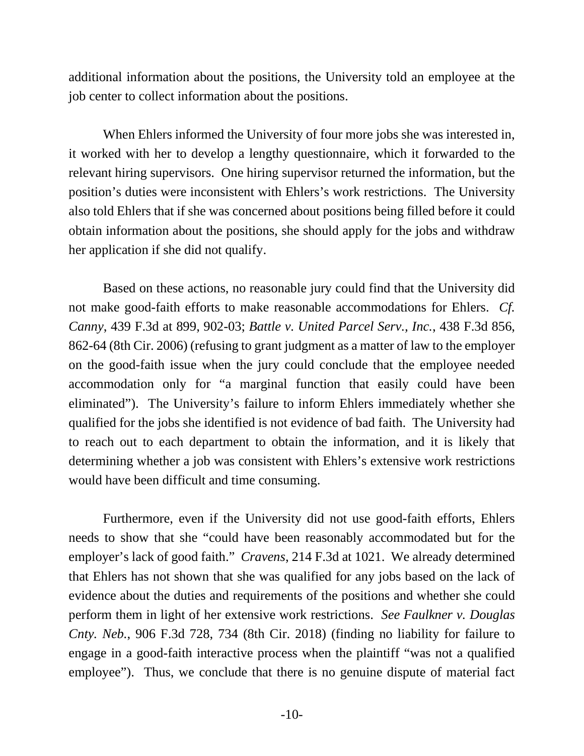additional information about the positions, the University told an employee at the job center to collect information about the positions.

When Ehlers informed the University of four more jobs she was interested in, it worked with her to develop a lengthy questionnaire, which it forwarded to the relevant hiring supervisors. One hiring supervisor returned the information, but the position's duties were inconsistent with Ehlers's work restrictions. The University also told Ehlers that if she was concerned about positions being filled before it could obtain information about the positions, she should apply for the jobs and withdraw her application if she did not qualify.

Based on these actions, no reasonable jury could find that the University did not make good-faith efforts to make reasonable accommodations for Ehlers. *Cf. Canny*, 439 F.3d at 899, 902-03; *Battle v. United Parcel Serv., Inc.*, 438 F.3d 856, 862-64 (8th Cir. 2006) (refusing to grant judgment as a matter of law to the employer on the good-faith issue when the jury could conclude that the employee needed accommodation only for "a marginal function that easily could have been eliminated"). The University's failure to inform Ehlers immediately whether she qualified for the jobs she identified is not evidence of bad faith. The University had to reach out to each department to obtain the information, and it is likely that determining whether a job was consistent with Ehlers's extensive work restrictions would have been difficult and time consuming.

Furthermore, even if the University did not use good-faith efforts, Ehlers needs to show that she "could have been reasonably accommodated but for the employer's lack of good faith." *Cravens*, 214 F.3d at 1021. We already determined that Ehlers has not shown that she was qualified for any jobs based on the lack of evidence about the duties and requirements of the positions and whether she could perform them in light of her extensive work restrictions. *See Faulkner v. Douglas Cnty. Neb.*, 906 F.3d 728, 734 (8th Cir. 2018) (finding no liability for failure to engage in a good-faith interactive process when the plaintiff "was not a qualified employee"). Thus, we conclude that there is no genuine dispute of material fact